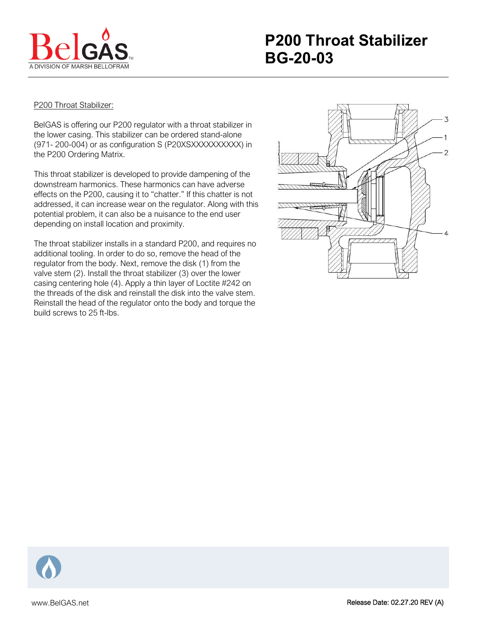

## P200 Throat Stabilizer:

BelGAS is offering our P200 regulator with a throat stabilizer in the lower casing. This stabilizer can be ordered stand-alone (971- 200-004) or as configuration S (P20XSXXXXXXXXXX) in the P200 Ordering Matrix.

This throat stabilizer is developed to provide dampening of the downstream harmonics. These harmonics can have adverse effects on the P200, causing it to "chatter." If this chatter is not addressed, it can increase wear on the regulator. Along with this potential problem, it can also be a nuisance to the end user depending on install location and proximity.

The throat stabilizer installs in a standard P200, and requires no additional tooling. In order to do so, remove the head of the regulator from the body. Next, remove the disk (1) from the valve stem (2). Install the throat stabilizer (3) over the lower casing centering hole (4). Apply a thin layer of Loctite #242 on the threads of the disk and reinstall the disk into the valve stem. Reinstall the head of the regulator onto the body and torque the build screws to 25 ft-lbs.



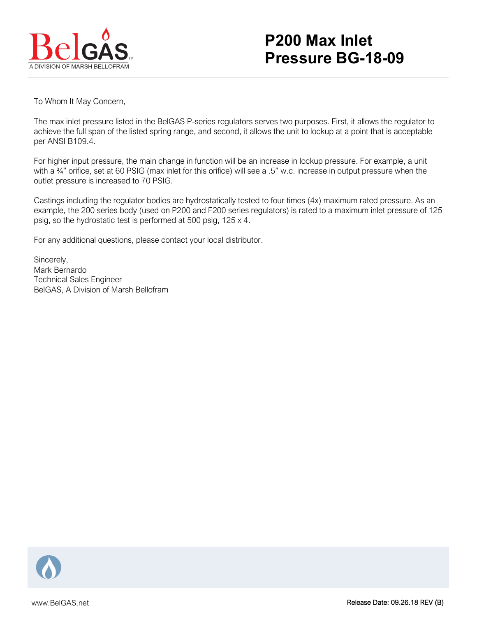

## **P200 Max Inlet Pressure BG-18-09**

To Whom It May Concern,

The max inlet pressure listed in the BelGAS P-series regulators serves two purposes. First, it allows the regulator to achieve the full span of the listed spring range, and second, it allows the unit to lockup at a point that is acceptable per ANSI B109.4.

For higher input pressure, the main change in function will be an increase in lockup pressure. For example, a unit with a <sup>3/4</sup>" orifice, set at 60 PSIG (max inlet for this orifice) will see a .5" w.c. increase in output pressure when the outlet pressure is increased to 70 PSIG.

Castings including the regulator bodies are hydrostatically tested to four times (4x) maximum rated pressure. As an example, the 200 series body (used on P200 and F200 series regulators) is rated to a maximum inlet pressure of 125 psig, so the hydrostatic test is performed at 500 psig, 125 x 4.

For any additional questions, please contact your local distributor.

Sincerely, Mark Bernardo Technical Sales Engineer BelGAS, A Division of Marsh Bellofram